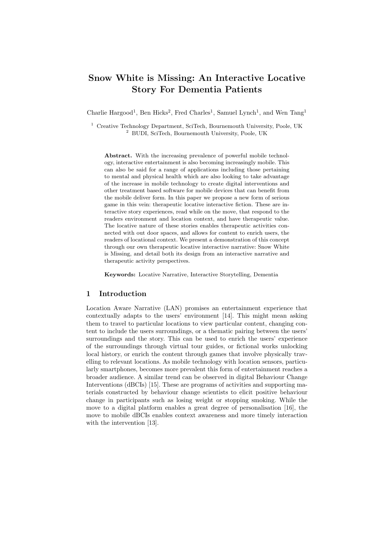# Snow White is Missing: An Interactive Locative Story For Dementia Patients

Charlie Hargood<sup>1</sup>, Ben Hicks<sup>2</sup>, Fred Charles<sup>1</sup>, Samuel Lynch<sup>1</sup>, and Wen Tang<sup>1</sup>

<sup>1</sup> Creative Technology Department, SciTech, Bournemouth University, Poole, UK <sup>2</sup> BUDI, SciTech, Bournemouth University, Poole, UK

Abstract. With the increasing prevalence of powerful mobile technology, interactive entertainment is also becoming increasingly mobile. This can also be said for a range of applications including those pertaining to mental and physical health which are also looking to take advantage of the increase in mobile technology to create digital interventions and other treatment based software for mobile devices that can benefit from the mobile deliver form. In this paper we propose a new form of serious game in this vein: therapeutic locative interactive fiction. These are interactive story experiences, read while on the move, that respond to the readers environment and location context, and have therapeutic value. The locative nature of these stories enables therapeutic activities connected with out door spaces, and allows for content to enrich users, the readers of locational context. We present a demonstration of this concept through our own therapeutic locative interactive narrative: Snow White is Missing, and detail both its design from an interactive narrative and therapeutic activity perspectives.

Keywords: Locative Narrative, Interactive Storytelling, Dementia

# 1 Introduction

Location Aware Narrative (LAN) promises an entertainment experience that contextually adapts to the users' environment [14]. This might mean asking them to travel to particular locations to view particular content, changing content to include the users surroundings, or a thematic pairing between the users' surroundings and the story. This can be used to enrich the users' experience of the surroundings through virtual tour guides, or fictional works unlocking local history, or enrich the content through games that involve physically travelling to relevant locations. As mobile technology with location sensors, particularly smartphones, becomes more prevalent this form of entertainment reaches a broader audience. A similar trend can be observed in digital Behaviour Change Interventions (dBCIs) [15]. These are programs of activities and supporting materials constructed by behaviour change scientists to elicit positive behaviour change in participants such as losing weight or stopping smoking. While the move to a digital platform enables a great degree of personalisation [16], the move to mobile dBCIs enables context awareness and more timely interaction with the intervention [13].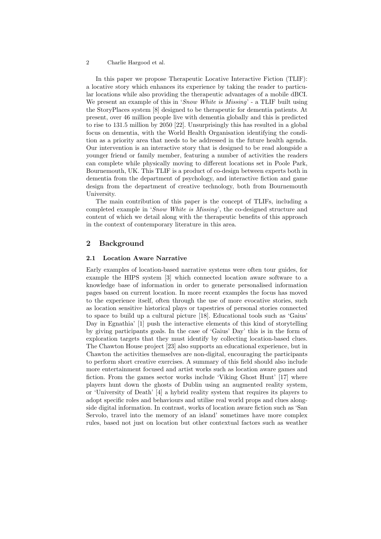#### 2 Charlie Hargood et al.

In this paper we propose Therapeutic Locative Interactive Fiction (TLIF): a locative story which enhances its experience by taking the reader to particular locations while also providing the therapeutic advantages of a mobile dBCI. We present an example of this in 'Snow White is Missing' - a TLIF built using the StoryPlaces system [8] designed to be therapeutic for dementia patients. At present, over 46 million people live with dementia globally and this is predicted to rise to 131.5 million by 2050 [22]. Unsurprisingly this has resulted in a global focus on dementia, with the World Health Organisation identifying the condition as a priority area that needs to be addressed in the future health agenda. Our intervention is an interactive story that is designed to be read alongside a younger friend or family member, featuring a number of activities the readers can complete while physically moving to different locations set in Poole Park, Bournemouth, UK. This TLIF is a product of co-design between experts both in dementia from the department of psychology, and interactive fiction and game design from the department of creative technology, both from Bournemouth University.

The main contribution of this paper is the concept of TLIFs, including a completed example in 'Snow White is Missing', the co-designed structure and content of which we detail along with the therapeutic benefits of this approach in the context of contemporary literature in this area.

## 2 Background

#### 2.1 Location Aware Narrative

Early examples of location-based narrative systems were often tour guides, for example the HIPS system [3] which connected location aware software to a knowledge base of information in order to generate personalised information pages based on current location. In more recent examples the focus has moved to the experience itself, often through the use of more evocative stories, such as location sensitive historical plays or tapestries of personal stories connected to space to build up a cultural picture [18]. Educational tools such as 'Gaius' Day in Egnathia' [1] push the interactive elements of this kind of storytelling by giving participants goals. In the case of 'Gaius' Day' this is in the form of exploration targets that they must identify by collecting location-based clues. The Chawton House project [23] also supports an educational experience, but in Chawton the activities themselves are non-digital, encouraging the participants to perform short creative exercises. A summary of this field should also include more entertainment focused and artist works such as location aware games and fiction. From the games sector works include 'Viking Ghost Hunt' [17] where players hunt down the ghosts of Dublin using an augmented reality system, or 'University of Death' [4] a hybrid reality system that requires its players to adopt specific roles and behaviours and utilise real world props and clues alongside digital information. In contrast, works of location aware fiction such as 'San Servolo, travel into the memory of an island' sometimes have more complex rules, based not just on location but other contextual factors such as weather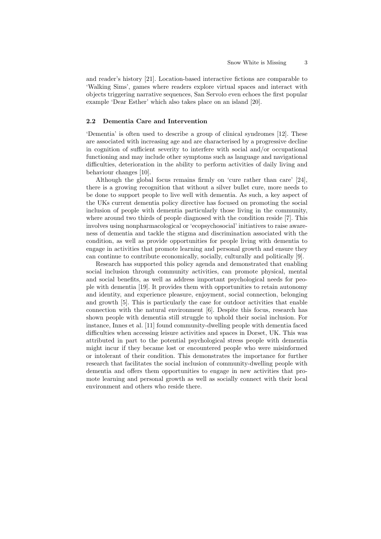and reader's history [21]. Location-based interactive fictions are comparable to 'Walking Sims', games where readers explore virtual spaces and interact with objects triggering narrative sequences, San Servolo even echoes the first popular example 'Dear Esther' which also takes place on an island [20].

#### 2.2 Dementia Care and Intervention

'Dementia' is often used to describe a group of clinical syndromes [12]. These are associated with increasing age and are characterised by a progressive decline in cognition of sufficient severity to interfere with social and/or occupational functioning and may include other symptoms such as language and navigational difficulties, deterioration in the ability to perform activities of daily living and behaviour changes [10].

Although the global focus remains firmly on 'cure rather than care' [24], there is a growing recognition that without a silver bullet cure, more needs to be done to support people to live well with dementia. As such, a key aspect of the UKs current dementia policy directive has focused on promoting the social inclusion of people with dementia particularly those living in the community, where around two thirds of people diagnosed with the condition reside [7]. This involves using nonpharmacological or 'ecopsychosocial' initiatives to raise awareness of dementia and tackle the stigma and discrimination associated with the condition, as well as provide opportunities for people living with dementia to engage in activities that promote learning and personal growth and ensure they can continue to contribute economically, socially, culturally and politically [9].

Research has supported this policy agenda and demonstrated that enabling social inclusion through community activities, can promote physical, mental and social benefits, as well as address important psychological needs for people with dementia [19]. It provides them with opportunities to retain autonomy and identity, and experience pleasure, enjoyment, social connection, belonging and growth [5]. This is particularly the case for outdoor activities that enable connection with the natural environment [6]. Despite this focus, research has shown people with dementia still struggle to uphold their social inclusion. For instance, Innes et al. [11] found community-dwelling people with dementia faced difficulties when accessing leisure activities and spaces in Dorset, UK. This was attributed in part to the potential psychological stress people with dementia might incur if they became lost or encountered people who were misinformed or intolerant of their condition. This demonstrates the importance for further research that facilitates the social inclusion of community-dwelling people with dementia and offers them opportunities to engage in new activities that promote learning and personal growth as well as socially connect with their local environment and others who reside there.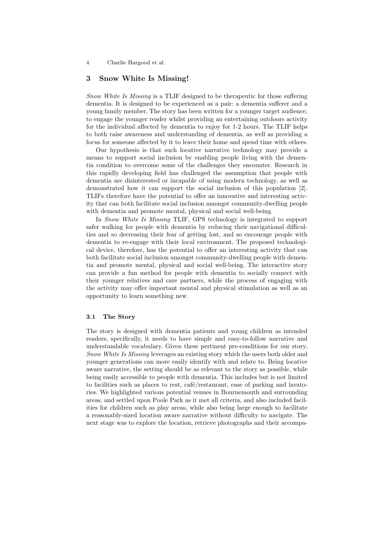4 Charlie Hargood et al.

## 3 Snow White Is Missing!

Snow White Is Missing is a TLIF designed to be therapeutic for those suffering dementia. It is designed to be experienced as a pair: a dementia sufferer and a young family member. The story has been written for a younger target audience, to engage the younger reader whilst providing an entertaining outdoors activity for the individual affected by dementia to enjoy for 1-2 hours. The TLIF helps to both raise awareness and understanding of dementia, as well as providing a focus for someone affected by it to leave their home and spend time with others.

Our hypothesis is that such locative narrative technology may provide a means to support social inclusion by enabling people living with the dementia condition to overcome some of the challenges they encounter. Research in this rapidly developing field has challenged the assumption that people with dementia are disinterested or incapable of using modern technology, as well as demonstrated how it can support the social inclusion of this population [2]. TLIFs therefore have the potential to offer an innovative and interesting activity that can both facilitate social inclusion amongst community-dwelling people with dementia and promote mental, physical and social well-being.

In Snow White Is Missing TLIF, GPS technology is integrated to support safer walking for people with dementia by reducing their navigational difficulties and so decreasing their fear of getting lost, and so encourage people with dementia to re-engage with their local environment. The proposed technological device, therefore, has the potential to offer an interesting activity that can both facilitate social inclusion amongst community-dwelling people with dementia and promote mental, physical and social well-being. The interactive story can provide a fun method for people with dementia to socially connect with their younger relatives and care partners, while the process of engaging with the activity may offer important mental and physical stimulation as well as an opportunity to learn something new.

#### 3.1 The Story

The story is designed with dementia patients and young children as intended readers, specifically, it needs to have simple and easy-to-follow narrative and understandable vocabulary. Given these pertinent pre-conditions for our story, Snow White Is Missing leverages an existing story which the users both older and younger generations can more easily identify with and relate to. Being locative aware narrative, the setting should be as relevant to the story as possible, while being easily accessible to people with dementia. This includes but is not limited to facilities such as places to rest, café/restaurant, ease of parking and lavatories. We highlighted various potential venues in Bournemouth and surrounding areas, and settled upon Poole Park as it met all criteria, and also included facilities for children such as play areas, while also being large enough to facilitate a reasonably-sized location aware narrative without difficulty to navigate. The next stage was to explore the location, retrieve photographs and their accompa-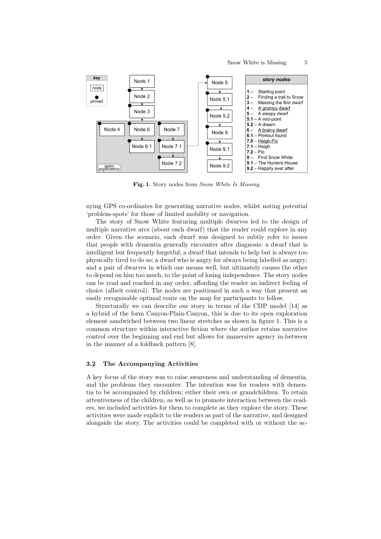

Fig. 1. Story nodes from Snow White Is Missing.

nying GPS co-ordinates for generating narrative nodes, whilst noting potential 'problem-spots' for those of limited mobility or navigation.

The story of Snow White featuring multiple dwarves led to the design of multiple narrative arcs (about each dwarf) that the reader could explore in any order. Given the scenario, each dwarf was designed to subtly refer to issues that people with dementia generally encounter after diagnosis: a dwarf that is intelligent but frequently forgetful; a dwarf that intends to help but is always too physically tired to do so; a dwarf who is angry for always being labelled as angry; and a pair of dwarves in which one means well, but ultimately causes the other to depend on him too much, to the point of losing independence. The story nodes can be read and reached in any order, affording the reader an indirect feeling of choice (albeit control). The nodes are positioned in such a way that present an easily recognisable optimal route on the map for participants to follow.

Structurally we can describe our story in terms of the CDP model [14] as a hybrid of the form Canyon-Plain-Canyon, this is due to its open exploration element sandwiched between two linear stretches as shown in figure 1. This is a common structure within interactive fiction where the author retains narrative control over the beginning and end but allows for immersive agency in-between in the manner of a foldback pattern [8].

#### 3.2 The Accompanying Activities

A key focus of the story was to raise awareness and understanding of dementia, and the problems they encounter. The intention was for readers with dementia to be accompanied by children; either their own or grandchildren. To retain attentiveness of the children, as well as to promote interaction between the readers, we included activities for them to complete as they explore the story. These activities were made explicit to the readers as part of the narrative, and designed alongside the story. The activities could be completed with or without the ac-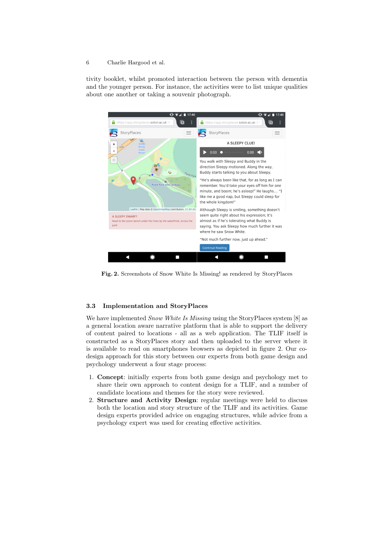#### 6 Charlie Hargood et al.

tivity booklet, whilst promoted interaction between the person with dementia and the younger person. For instance, the activities were to list unique qualities about one another or taking a souvenir photograph.



Fig. 2. Screenshots of Snow White Is Missing! as rendered by StoryPlaces

#### 3.3 Implementation and StoryPlaces

We have implemented *Snow White Is Missing* using the StoryPlaces system [8] as a general location aware narrative platform that is able to support the delivery of content paired to locations - all as a web application. The TLIF itself is constructed as a StoryPlaces story and then uploaded to the server where it is available to read on smartphones browsers as depicted in figure 2. Our codesign approach for this story between our experts from both game design and psychology underwent a four stage process:

- 1. Concept: initially experts from both game design and psychology met to share their own approach to content design for a TLIF, and a number of candidate locations and themes for the story were reviewed.
- 2. Structure and Activity Design: regular meetings were held to discuss both the location and story structure of the TLIF and its activities. Game design experts provided advice on engaging structures, while advice from a psychology expert was used for creating effective activities.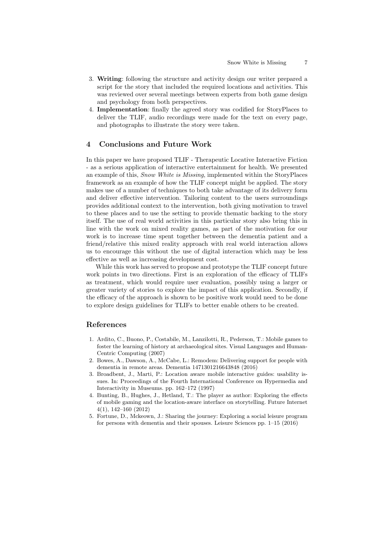- 3. Writing: following the structure and activity design our writer prepared a script for the story that included the required locations and activities. This was reviewed over several meetings between experts from both game design and psychology from both perspectives.
- 4. Implementation: finally the agreed story was codified for StoryPlaces to deliver the TLIF, audio recordings were made for the text on every page, and photographs to illustrate the story were taken.

# 4 Conclusions and Future Work

In this paper we have proposed TLIF - Therapeutic Locative Interactive Fiction - as a serious application of interactive entertainment for health. We presented an example of this, Snow White is Missing, implemented within the StoryPlaces framework as an example of how the TLIF concept might be applied. The story makes use of a number of techniques to both take advantage of its delivery form and deliver effective intervention. Tailoring content to the users surroundings provides additional context to the intervention, both giving motivation to travel to these places and to use the setting to provide thematic backing to the story itself. The use of real world activities in this particular story also bring this in line with the work on mixed reality games, as part of the motivation for our work is to increase time spent together between the dementia patient and a friend/relative this mixed reality approach with real world interaction allows us to encourage this without the use of digital interaction which may be less effective as well as increasing development cost.

While this work has served to propose and prototype the TLIF concept future work points in two directions. First is an exploration of the efficacy of TLIFs as treatment, which would require user evaluation, possibly using a larger or greater variety of stories to explore the impact of this application. Secondly, if the efficacy of the approach is shown to be positive work would need to be done to explore design guidelines for TLIFs to better enable others to be created.

## References

- 1. Ardito, C., Buono, P., Costabile, M., Lanzilotti, R., Pederson, T.: Mobile games to foster the learning of history at archaeological sites. Visual Languages and Human-Centric Computing (2007)
- 2. Bowes, A., Dawson, A., McCabe, L.: Remodem: Delivering support for people with dementia in remote areas. Dementia 1471301216643848 (2016)
- 3. Broadbent, J., Marti, P.: Location aware mobile interactive guides: usability issues. In: Proceedings of the Fourth International Conference on Hypermedia and Interactivity in Museums. pp. 162–172 (1997)
- 4. Bunting, B., Hughes, J., Hetland, T.: The player as author: Exploring the effects of mobile gaming and the location-aware interface on storytelling. Future Internet 4(1), 142–160 (2012)
- 5. Fortune, D., Mckeown, J.: Sharing the journey: Exploring a social leisure program for persons with dementia and their spouses. Leisure Sciences pp. 1–15 (2016)